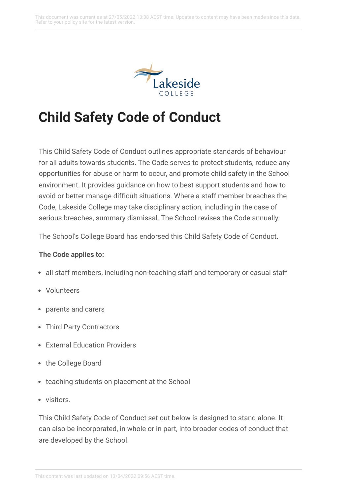

# **Child Safety Code of Conduct**

This Child Safety Code of Conduct outlines appropriate standards of behaviour for all adults towards students. The Code serves to protect students, reduce any opportunities for abuse or harm to occur, and promote child safety in the School environment. It provides guidance on how to best support students and how to avoid or better manage difficult situations. Where a staff member breaches the Code, Lakeside College may take disciplinary action, including in the case of serious breaches, summary dismissal. The School revises the Code annually.

The School's College Board has endorsed this Child Safety Code of Conduct.

#### **The Code applies to:**

- all staff members, including non-teaching staff and temporary or casual staff
- Volunteers
- parents and carers
- Third Party Contractors
- **External Education Providers**
- the College Board
- teaching students on placement at the School
- visitors.

This Child Safety Code of Conduct set out below is designed to stand alone. It can also be incorporated, in whole or in part, into broader codes of conduct that are developed by the School.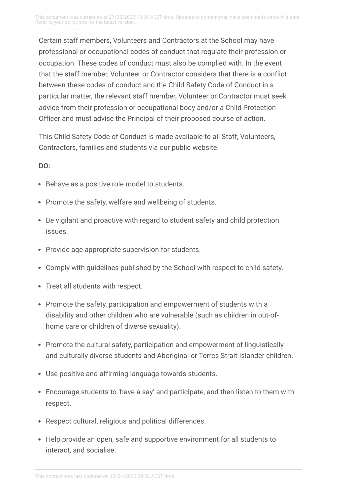Certain staff members, Volunteers and Contractors at the School may have professional or occupational codes of conduct that regulate their profession or occupation. These codes of conduct must also be complied with. In the event that the staff member, Volunteer or Contractor considers that there is a conflict between these codes of conduct and the Child Safety Code of Conduct in a particular matter, the relevant staff member, Volunteer or Contractor must seek advice from their profession or occupational body and/or a Child Protection Officer and must advise the Principal of their proposed course of action.

This Child Safety Code of Conduct is made available to all Staff, Volunteers, Contractors, families and students via our public website.

#### **DO:**

- Behave as a positive role model to students.
- Promote the safety, welfare and wellbeing of students.
- Be vigilant and proactive with regard to student safety and child protection issues.
- Provide age appropriate supervision for students.
- Comply with guidelines published by the School with respect to child safety.
- Treat all students with respect.
- Promote the safety, participation and empowerment of students with a disability and other children who are vulnerable (such as children in out-ofhome care or children of diverse sexuality).
- Promote the cultural safety, participation and empowerment of linguistically and culturally diverse students and Aboriginal or Torres Strait Islander children.
- Use positive and affirming language towards students.
- Encourage students to 'have a say' and participate, and then listen to them with respect.
- Respect cultural, religious and political differences.
- Help provide an open, safe and supportive environment for all students to interact, and socialise.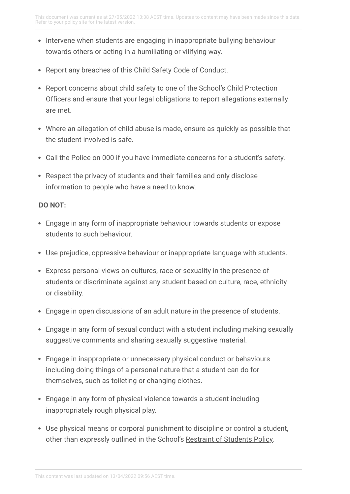- Intervene when students are engaging in inappropriate bullying behaviour towards others or acting in a humiliating or vilifying way.
- Report any breaches of this Child Safety Code of Conduct.
- Report concerns about child safety to one of the School's Child Protection Officers and ensure that your legal obligations to report allegations externally are met.
- Where an allegation of child abuse is made, ensure as quickly as possible that the student involved is safe.
- Call the Police on 000 if you have immediate concerns for a student's safety.
- Respect the privacy of students and their families and only disclose information to people who have a need to know.

### **DO NOT:**

- Engage in any form of inappropriate behaviour towards students or expose students to such behaviour.
- Use prejudice, oppressive behaviour or inappropriate language with students.
- Express personal views on cultures, race or sexuality in the presence of students or discriminate against any student based on culture, race, ethnicity or disability.
- Engage in open discussions of an adult nature in the presence of students.
- Engage in any form of sexual conduct with a student including making sexually suggestive comments and sharing sexually suggestive material.
- Engage in inappropriate or unnecessary physical conduct or behaviours including doing things of a personal nature that a student can do for themselves, such as toileting or changing clothes.
- Engage in any form of physical violence towards a student including inappropriately rough physical play.
- Use physical means or corporal punishment to discipline or control a student, other than expressly outlined in the School's Restraint of [Students](https://lakesidecollege.policyconnect.com.au/module/223/page/826246ff-403d-4da7-ad0f-836318b4a3bb.md) Policy.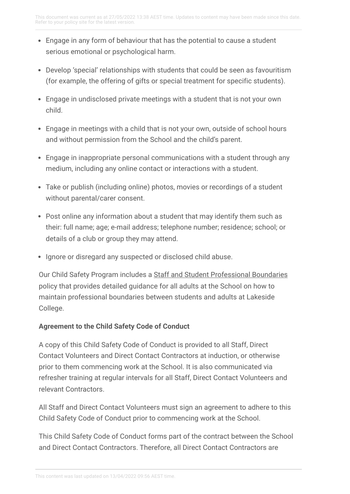- Engage in any form of behaviour that has the potential to cause a student serious emotional or psychological harm.
- Develop 'special' relationships with students that could be seen as favouritism (for example, the offering of gifts or special treatment for specific students).
- Engage in undisclosed private meetings with a student that is not your own child.
- Engage in meetings with a child that is not your own, outside of school hours and without permission from the School and the child's parent.
- Engage in inappropriate personal communications with a student through any medium, including any online contact or interactions with a student.
- Take or publish (including online) photos, movies or recordings of a student without parental/carer consent.
- Post online any information about a student that may identify them such as their: full name; age; e-mail address; telephone number; residence; school; or details of a club or group they may attend.
- Ignore or disregard any suspected or disclosed child abuse.

Our Child Safety Program includes a Staff and Student [Professional](https://lakesidecollege.policyconnect.com.au/module/53/page/8d8dd015-1cf8-43d5-a405-dd71c77b6722.md) Boundaries policy that provides detailed guidance for all adults at the School on how to maintain professional boundaries between students and adults at Lakeside College.

### **Agreement to the Child Safety Code of Conduct**

A copy of this Child Safety Code of Conduct is provided to all Staff, Direct Contact Volunteers and Direct Contact Contractors at induction, or otherwise prior to them commencing work at the School. It is also communicated via refresher training at regular intervals for all Staff, Direct Contact Volunteers and relevant Contractors.

All Staff and Direct Contact Volunteers must sign an agreement to adhere to this Child Safety Code of Conduct prior to commencing work at the School.

This Child Safety Code of Conduct forms part of the contract between the School and Direct Contact Contractors. Therefore, all Direct Contact Contractors are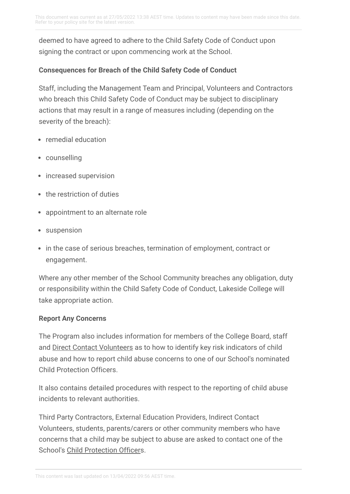deemed to have agreed to adhere to the Child Safety Code of Conduct upon signing the contract or upon commencing work at the School.

## **Consequences for Breach of the Child Safety Code of Conduct**

Staff, including the Management Team and Principal, Volunteers and Contractors who breach this Child Safety Code of Conduct may be subject to disciplinary actions that may result in a range of measures including (depending on the severity of the breach):

- remedial education
- counselling
- increased supervision
- the restriction of duties
- appointment to an alternate role
- suspension
- in the case of serious breaches, termination of employment, contract or engagement.

Where any other member of the School Community breaches any obligation, duty or responsibility within the Child Safety Code of Conduct, Lakeside College will take appropriate action.

### **Report Any Concerns**

The Program also includes information for members of the College Board, staff and Direct Contact [Volunteers](https://lakesidecollege.policyconnect.com.au/module/53/page/4a2eb7d8-50c8-4271-bd0f-be2f0b84e3d9.md) as to how to identify key risk indicators of child abuse and how to report child abuse concerns to one of our School's nominated Child Protection Officers.

It also contains detailed procedures with respect to the reporting of child abuse incidents to relevant authorities.

Third Party Contractors, External Education Providers, Indirect Contact Volunteers, students, parents/carers or other community members who have concerns that a child may be subject to abuse are asked to contact one of the School's Child [Protection](https://lakesidecollege.policyconnect.com.au/module/53/page/b8877a38-8408-4730-979b-53cb1705529a.md) Officers.